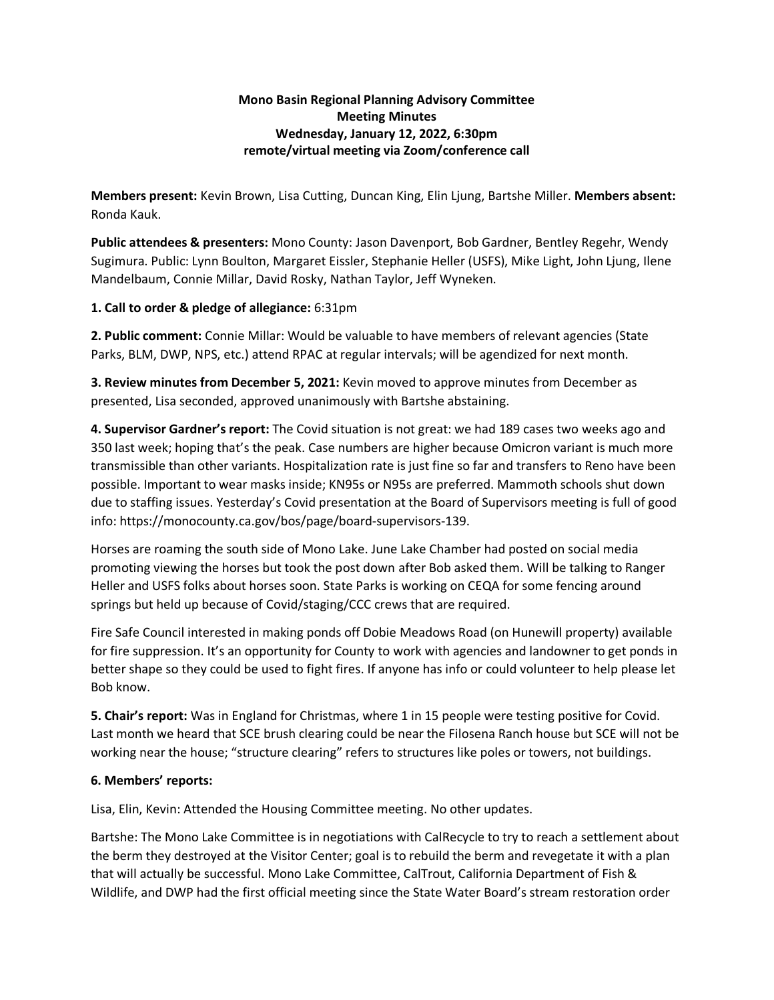## **Mono Basin Regional Planning Advisory Committee Meeting Minutes Wednesday, January 12, 2022, 6:30pm remote/virtual meeting via Zoom/conference call**

**Members present:** Kevin Brown, Lisa Cutting, Duncan King, Elin Ljung, Bartshe Miller. **Members absent:** Ronda Kauk.

**Public attendees & presenters:** Mono County: Jason Davenport, Bob Gardner, Bentley Regehr, Wendy Sugimura. Public: Lynn Boulton, Margaret Eissler, Stephanie Heller (USFS), Mike Light, John Ljung, Ilene Mandelbaum, Connie Millar, David Rosky, Nathan Taylor, Jeff Wyneken.

## **1. Call to order & pledge of allegiance:** 6:31pm

**2. Public comment:** Connie Millar: Would be valuable to have members of relevant agencies (State Parks, BLM, DWP, NPS, etc.) attend RPAC at regular intervals; will be agendized for next month.

**3. Review minutes from December 5, 2021:** Kevin moved to approve minutes from December as presented, Lisa seconded, approved unanimously with Bartshe abstaining.

**4. Supervisor Gardner's report:** The Covid situation is not great: we had 189 cases two weeks ago and 350 last week; hoping that's the peak. Case numbers are higher because Omicron variant is much more transmissible than other variants. Hospitalization rate is just fine so far and transfers to Reno have been possible. Important to wear masks inside; KN95s or N95s are preferred. Mammoth schools shut down due to staffing issues. Yesterday's Covid presentation at the Board of Supervisors meeting is full of good info: https://monocounty.ca.gov/bos/page/board-supervisors-139.

Horses are roaming the south side of Mono Lake. June Lake Chamber had posted on social media promoting viewing the horses but took the post down after Bob asked them. Will be talking to Ranger Heller and USFS folks about horses soon. State Parks is working on CEQA for some fencing around springs but held up because of Covid/staging/CCC crews that are required.

Fire Safe Council interested in making ponds off Dobie Meadows Road (on Hunewill property) available for fire suppression. It's an opportunity for County to work with agencies and landowner to get ponds in better shape so they could be used to fight fires. If anyone has info or could volunteer to help please let Bob know.

**5. Chair's report:** Was in England for Christmas, where 1 in 15 people were testing positive for Covid. Last month we heard that SCE brush clearing could be near the Filosena Ranch house but SCE will not be working near the house; "structure clearing" refers to structures like poles or towers, not buildings.

## **6. Members' reports:**

Lisa, Elin, Kevin: Attended the Housing Committee meeting. No other updates.

Bartshe: The Mono Lake Committee is in negotiations with CalRecycle to try to reach a settlement about the berm they destroyed at the Visitor Center; goal is to rebuild the berm and revegetate it with a plan that will actually be successful. Mono Lake Committee, CalTrout, California Department of Fish & Wildlife, and DWP had the first official meeting since the State Water Board's stream restoration order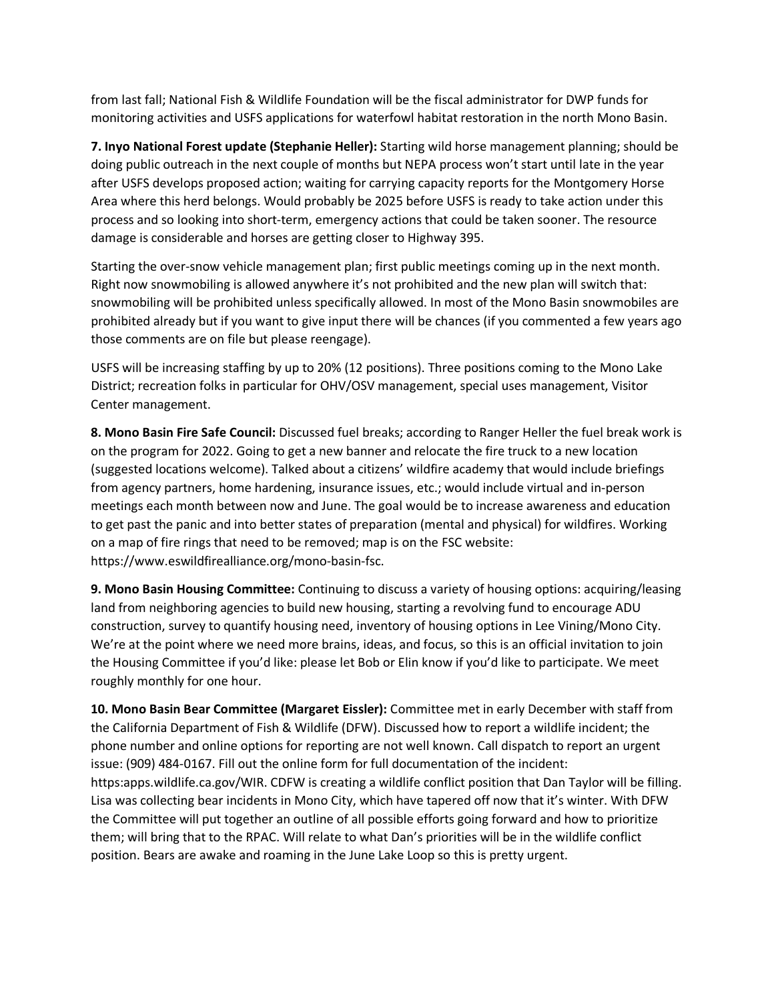from last fall; National Fish & Wildlife Foundation will be the fiscal administrator for DWP funds for monitoring activities and USFS applications for waterfowl habitat restoration in the north Mono Basin.

**7. Inyo National Forest update (Stephanie Heller):** Starting wild horse management planning; should be doing public outreach in the next couple of months but NEPA process won't start until late in the year after USFS develops proposed action; waiting for carrying capacity reports for the Montgomery Horse Area where this herd belongs. Would probably be 2025 before USFS is ready to take action under this process and so looking into short-term, emergency actions that could be taken sooner. The resource damage is considerable and horses are getting closer to Highway 395.

Starting the over-snow vehicle management plan; first public meetings coming up in the next month. Right now snowmobiling is allowed anywhere it's not prohibited and the new plan will switch that: snowmobiling will be prohibited unless specifically allowed. In most of the Mono Basin snowmobiles are prohibited already but if you want to give input there will be chances (if you commented a few years ago those comments are on file but please reengage).

USFS will be increasing staffing by up to 20% (12 positions). Three positions coming to the Mono Lake District; recreation folks in particular for OHV/OSV management, special uses management, Visitor Center management.

**8. Mono Basin Fire Safe Council:** Discussed fuel breaks; according to Ranger Heller the fuel break work is on the program for 2022. Going to get a new banner and relocate the fire truck to a new location (suggested locations welcome). Talked about a citizens' wildfire academy that would include briefings from agency partners, home hardening, insurance issues, etc.; would include virtual and in-person meetings each month between now and June. The goal would be to increase awareness and education to get past the panic and into better states of preparation (mental and physical) for wildfires. Working on a map of fire rings that need to be removed; map is on the FSC website: https://www.eswildfirealliance.org/mono-basin-fsc.

**9. Mono Basin Housing Committee:** Continuing to discuss a variety of housing options: acquiring/leasing land from neighboring agencies to build new housing, starting a revolving fund to encourage ADU construction, survey to quantify housing need, inventory of housing options in Lee Vining/Mono City. We're at the point where we need more brains, ideas, and focus, so this is an official invitation to join the Housing Committee if you'd like: please let Bob or Elin know if you'd like to participate. We meet roughly monthly for one hour.

**10. Mono Basin Bear Committee (Margaret Eissler):** Committee met in early December with staff from the California Department of Fish & Wildlife (DFW). Discussed how to report a wildlife incident; the phone number and online options for reporting are not well known. Call dispatch to report an urgent issue: (909) 484-0167. Fill out the online form for full documentation of the incident: https:apps.wildlife.ca.gov/WIR. CDFW is creating a wildlife conflict position that Dan Taylor will be filling. Lisa was collecting bear incidents in Mono City, which have tapered off now that it's winter. With DFW the Committee will put together an outline of all possible efforts going forward and how to prioritize them; will bring that to the RPAC. Will relate to what Dan's priorities will be in the wildlife conflict position. Bears are awake and roaming in the June Lake Loop so this is pretty urgent.